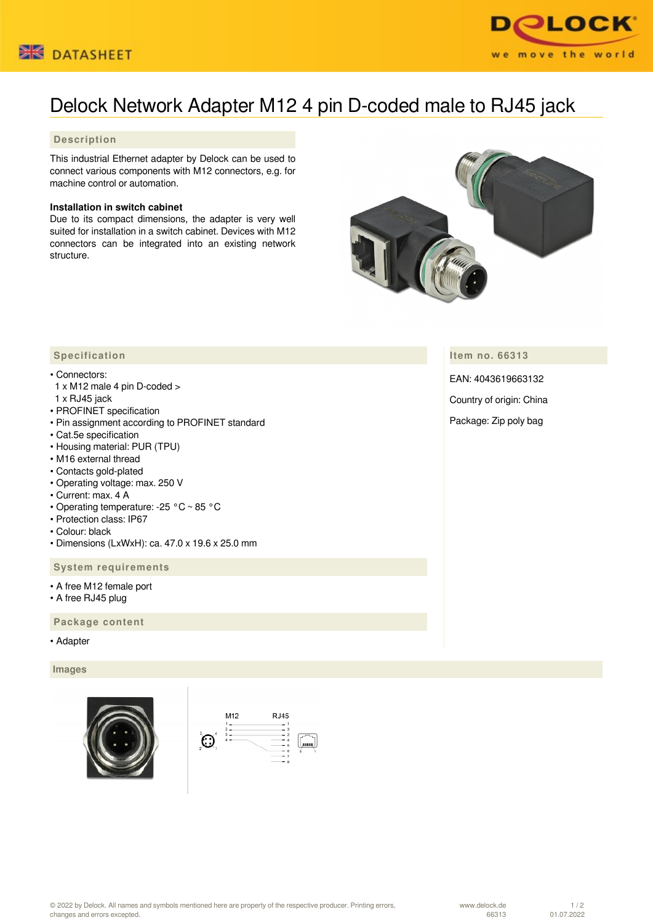



# Delock Network Adapter M12 4 pin D-coded male to RJ45 jack

# **Description**

This industrial Ethernet adapter by Delock can be used to connect various components with M12 connectors, e.g. for machine control or automation.

### **Installation in switch cabinet**

Due to its compact dimensions, the adapter is very well suited for installation in a switch cabinet. Devices with M12 connectors can be integrated into an existing network structure.



**Item no. 66313**

EAN: 4043619663132

Country of origin: China

Package: Zip poly bag

# **Specification**

#### • Connectors:

- 1 x M12 male 4 pin D-coded >
- 1 x RJ45 jack
- PROFINET specification
- Pin assignment according to PROFINET standard
- Cat.5e specification
- Housing material: PUR (TPU)
- M16 external thread
- Contacts gold-plated
- Operating voltage: max. 250 V
- Current: max. 4 A
- Operating temperature: -25 °C ~ 85 °C
- Protection class: IP67
- Colour: black
- Dimensions (LxWxH): ca. 47.0 x 19.6 x 25.0 mm

### **System requirements**

- A free M12 female port
- A free RJ45 plug

 **Package content**

• Adapter

 **Images**





© 2022 by Delock. All names and symbols mentioned here are property of the respective producer. Printing errors, changes and errors excepted.